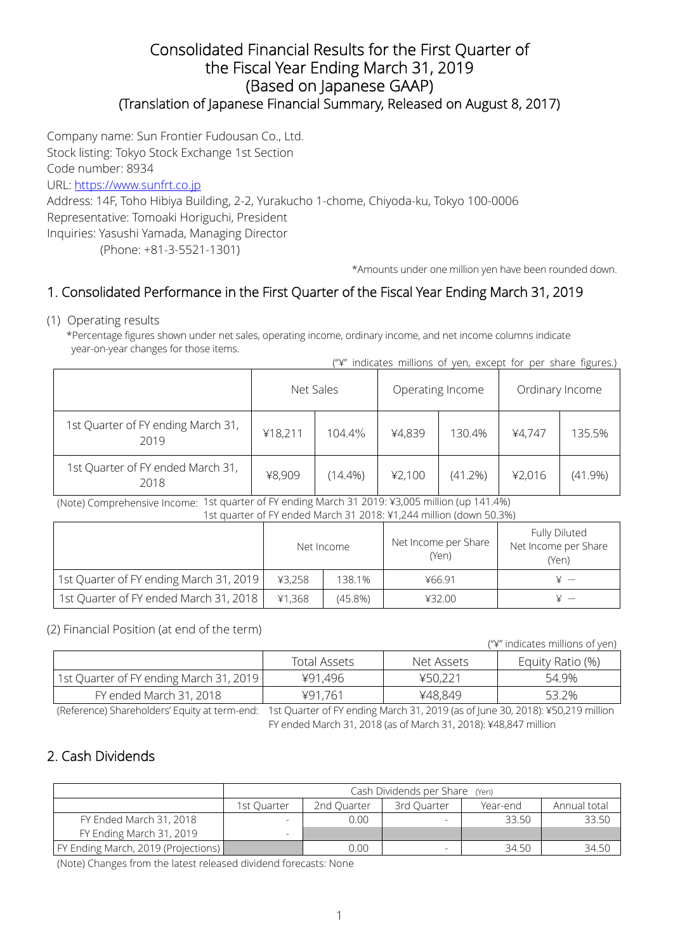### Consolidated Financial Results for the First Quarter of the Fiscal Year Ending March 31, 2019 (Based on Japanese GAAP) (Translation of Japanese Financial Summary, Released on August 8, 2017)

Company name: Sun Frontier Fudousan Co., Ltd.

Stock listing: Tokyo Stock Exchange 1st Section

Code number: 8934

URL: https://www.sunfrt.co.jp

Address: 14F, Toho Hibiya Building, 2-2, Yurakucho 1-chome, Chiyoda-ku, Tokyo 100-0006 Representative: Tomoaki Horiguchi, President Inquiries: Yasushi Yamada, Managing Director

(Phone: +81-3-5521-1301)

\*Amounts under one million yen have been rounded down.

## 1. Consolidated Performance in the First Quarter of the Fiscal Year Ending March 31, 2019

#### (1) Operating results

\*Percentage figures shown under net sales, operating income, ordinary income, and net income columns indicate year-on-year changes for those items.

| ("\" indicates millions of yen, except for per share figures.) |  |  |  |  |  |
|----------------------------------------------------------------|--|--|--|--|--|
|                                                                |  |  |  |  |  |

|                                            | Net Sales         |            | Operating Income |            | Ordinary Income |            |
|--------------------------------------------|-------------------|------------|------------------|------------|-----------------|------------|
| 1st Quarter of FY ending March 31,<br>2019 | 104.4%<br>¥18,211 |            | ¥4,839           | 130.4%     | ¥4,747          | 135.5%     |
| 1st Quarter of FY ended March 31,<br>2018  | ¥8,909            | $(14.4\%)$ | 42,100           | $(41.2\%)$ | ¥2,016          | $(41.9\%)$ |

 (Note) Comprehensive Income: 1st quarter of FY ending March 31 2019: ¥3,005 million (up 141.4%) 1st quarter of FY ended March 31 2018: ¥1,244 million (down 50.3%)

|                                         | Net Income |            | Net Income per Share<br>(Yen) | Fully Diluted<br>Net Income per Share<br>(Yen) |
|-----------------------------------------|------------|------------|-------------------------------|------------------------------------------------|
| 1st Quarter of FY ending March 31, 2019 | ¥3,258     | 138.1%     | ¥66.91                        |                                                |
| 1st Quarter of FY ended March 31, 2018  | ¥1,368     | $(45.8\%)$ | 432.00                        |                                                |

#### (2) Financial Position (at end of the term)

("¥" indicates millions of yen)

|                                         | Total Assets | Net Assets | Equity Ratio (%) |
|-----------------------------------------|--------------|------------|------------------|
| 1st Quarter of FY ending March 31, 2019 | ¥91,496      | ¥50,221    | 54.9%            |
| FY ended March 31, 2018                 | ¥91.761      | ¥48,849    | 53.2%            |

(Reference) Shareholders' Equity at term-end: 1st Quarter of FY ending March 31, 2019 (as of June 30, 2018): ¥50,219 million FY ended March 31, 2018 (as of March 31, 2018): ¥48,847 million

## 2. Cash Dividends

|                                     | Cash Dividends per Share (Yen) |             |             |          |              |  |  |
|-------------------------------------|--------------------------------|-------------|-------------|----------|--------------|--|--|
|                                     | 1st Ouarter                    | 2nd Ouarter | 3rd Ouarter | Year-end | Annual total |  |  |
| FY Ended March 31, 2018             |                                | 0.00        |             | 33.50    | 33.50        |  |  |
| FY Ending March 31, 2019            |                                |             |             |          |              |  |  |
| FY Ending March, 2019 (Projections) |                                | 0.00        |             | 34.50    | 34.50        |  |  |

(Note) Changes from the latest released dividend forecasts: None